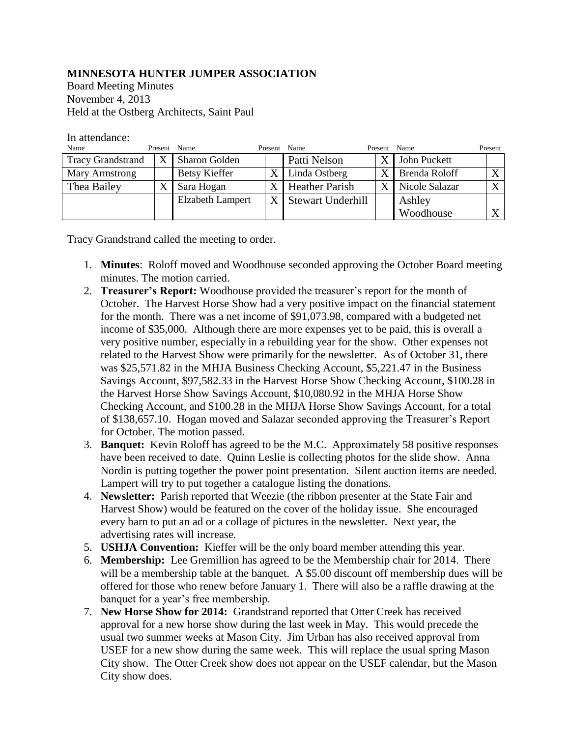## **MINNESOTA HUNTER JUMPER ASSOCIATION**

Board Meeting Minutes November 4, 2013 Held at the Ostberg Architects, Saint Paul

## In attendance:

| Name                     | Present Name |                         | Present | Name                  | Present | Name           | Present      |
|--------------------------|--------------|-------------------------|---------|-----------------------|---------|----------------|--------------|
| <b>Tracy Grandstrand</b> | X            | <b>Sharon Golden</b>    |         | Patti Nelson          | X       | John Puckett   |              |
| Mary Armstrong           |              | <b>Betsy Kieffer</b>    |         | Linda Ostberg         | X       | Brenda Roloff  | $\mathbf{v}$ |
| Thea Bailey              |              | Sara Hogan              |         | <b>Heather Parish</b> | X       | Nicole Salazar | $\mathbf{v}$ |
|                          |              | <b>Elzabeth Lampert</b> |         | X Stewart Underhill   |         | Ashley         |              |
|                          |              |                         |         |                       |         | Woodhouse      |              |

Tracy Grandstrand called the meeting to order.

- 1. **Minutes**: Roloff moved and Woodhouse seconded approving the October Board meeting minutes. The motion carried.
- 2. **Treasurer's Report:** Woodhouse provided the treasurer's report for the month of October. The Harvest Horse Show had a very positive impact on the financial statement for the month. There was a net income of \$91,073.98, compared with a budgeted net income of \$35,000. Although there are more expenses yet to be paid, this is overall a very positive number, especially in a rebuilding year for the show. Other expenses not related to the Harvest Show were primarily for the newsletter. As of October 31, there was \$25,571.82 in the MHJA Business Checking Account, \$5,221.47 in the Business Savings Account, \$97,582.33 in the Harvest Horse Show Checking Account, \$100.28 in the Harvest Horse Show Savings Account, \$10,080.92 in the MHJA Horse Show Checking Account, and \$100.28 in the MHJA Horse Show Savings Account, for a total of \$138,657.10. Hogan moved and Salazar seconded approving the Treasurer's Report for October. The motion passed.
- 3. **Banquet:** Kevin Roloff has agreed to be the M.C. Approximately 58 positive responses have been received to date. Quinn Leslie is collecting photos for the slide show. Anna Nordin is putting together the power point presentation. Silent auction items are needed. Lampert will try to put together a catalogue listing the donations.
- 4. **Newsletter:** Parish reported that Weezie (the ribbon presenter at the State Fair and Harvest Show) would be featured on the cover of the holiday issue. She encouraged every barn to put an ad or a collage of pictures in the newsletter. Next year, the advertising rates will increase.
- 5. **USHJA Convention:** Kieffer will be the only board member attending this year.
- 6. **Membership:** Lee Gremillion has agreed to be the Membership chair for 2014. There will be a membership table at the banquet. A \$5.00 discount off membership dues will be offered for those who renew before January 1. There will also be a raffle drawing at the banquet for a year's free membership.
- 7. **New Horse Show for 2014:** Grandstrand reported that Otter Creek has received approval for a new horse show during the last week in May. This would precede the usual two summer weeks at Mason City. Jim Urban has also received approval from USEF for a new show during the same week. This will replace the usual spring Mason City show. The Otter Creek show does not appear on the USEF calendar, but the Mason City show does.